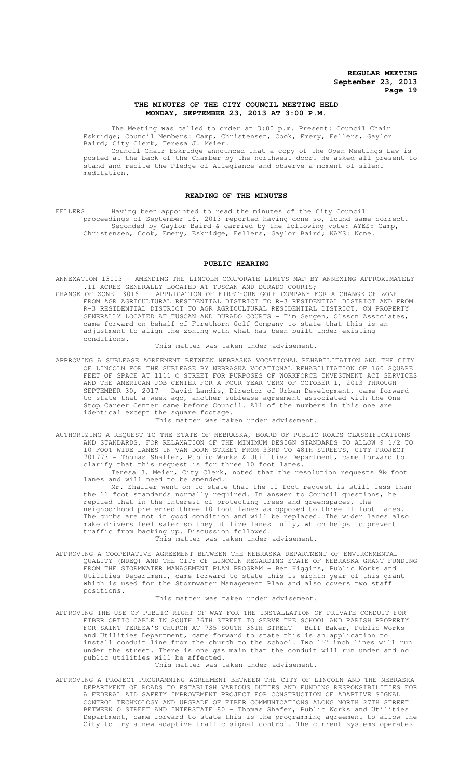### **THE MINUTES OF THE CITY COUNCIL MEETING HELD MONDAY, SEPTEMBER 23, 2013 AT 3:00 P.M.**

The Meeting was called to order at 3:00 p.m. Present: Council Chair Eskridge; Council Members: Camp, Christensen, Cook, Emery, Fellers, Gaylor Baird; City Clerk, Teresa J. Meier.

Council Chair Eskridge announced that a copy of the Open Meetings Law is posted at the back of the Chamber by the northwest door. He asked all present to stand and recite the Pledge of Allegiance and observe a moment of silent meditation.

# **READING OF THE MINUTES**

FELLERS Having been appointed to read the minutes of the City Council proceedings of September 16, 2013 reported having done so, found same correct. Seconded by Gaylor Baird & carried by the following vote: AYES: Camp, Christensen, Cook, Emery, Eskridge, Fellers, Gaylor Baird; NAYS: None.

#### **PUBLIC HEARING**

ANNEXATION 13003 – AMENDING THE LINCOLN CORPORATE LIMITS MAP BY ANNEXING APPROXIMATELY .11 ACRES GENERALLY LOCATED AT TUSCAN AND DURADO COURTS;

CHANGE OF ZONE 13016 – APPLICATION OF FIRETHORN GOLF COMPANY FOR A CHANGE OF ZONE FROM AGR AGRICULTURAL RESIDENTIAL DISTRICT TO R-3 RESIDENTIAL DISTRICT AND FROM R-3 RESIDENTIAL DISTRICT TO AGR AGRICULTURAL RESIDENTIAL DISTRICT, ON PROPERTY GENERALLY LOCATED AT TUSCAN AND DURADO COURTS - Tim Gergen, Olsson Associates, came forward on behalf of Firethorn Golf Company to state that this is an adjustment to align the zoning with what has been built under existing conditions.

This matter was taken under advisement.

APPROVING A SUBLEASE AGREEMENT BETWEEN NEBRASKA VOCATIONAL REHABILITATION AND THE CITY OF LINCOLN FOR THE SUBLEASE BY NEBRASKA VOCATIONAL REHABILITATION OF 160 SQUARE FEET OF SPACE AT 1111 O STREET FOR PURPOSES OF WORKFORCE INVESTMENT ACT SERVICES AND THE AMERICAN JOB CENTER FOR A FOUR YEAR TERM OF OCTOBER 1, 2013 THROUGH SEPTEMBER 30, 2017 - David Landis, Director of Urban Development, came forward to state that a week ago, another sublease agreement associated with the One Stop Career Center came before Council. All of the numbers in this one are identical except the square footage.

This matter was taken under advisement.

AUTHORIZING A REQUEST TO THE STATE OF NEBRASKA, BOARD OF PUBLIC ROADS CLASSIFICATIONS AND STANDARDS, FOR RELAXATION OF THE MINIMUM DESIGN STANDARDS TO ALLOW 9 1/2 TO 10 FOOT WIDE LANES IN VAN DORN STREET FROM 33RD TO 48TH STREETS, CITY PROJECT 701773 - Thomas Shaffer, Public Works & Utilities Department, came forward to clarify that this request is for three 10 foot lanes.

Teresa J. Meier, City Clerk, noted that the resolution requests 9½ foot lanes and will need to be amended.

Mr. Shaffer went on to state that the 10 foot request is still less than the 11 foot standards normally required. In answer to Council questions, he replied that in the interest of protecting trees and greenspaces, the neighborhood preferred three 10 foot lanes as opposed to three 11 foot lanes. The curbs are not in good condition and will be replaced. The wider lanes also make drivers feel safer so they utilize lanes fully, which helps to prevent traffic from backing up. Discussion followed. This matter was taken under advisement.

APPROVING A COOPERATIVE AGREEMENT BETWEEN THE NEBRASKA DEPARTMENT OF ENVIRONMENTAL QUALITY (NDEQ) AND THE CITY OF LINCOLN REGARDING STATE OF NEBRASKA GRANT FUNDING FROM THE STORMWATER MANAGEMENT PLAN PROGRAM - Ben Higgins, Public Works and Utilities Department, came forward to state this is eighth year of this grant which is used for the Stormwater Management Plan and also covers two staff positions.

#### This matter was taken under advisement.

APPROVING THE USE OF PUBLIC RIGHT-OF-WAY FOR THE INSTALLATION OF PRIVATE CONDUIT FOR FIBER OPTIC CABLE IN SOUTH 36TH STREET TO SERVE THE SCHOOL AND PARISH PROPERTY FOR SAINT TERESA'S CHURCH AT 735 SOUTH 36TH STREET - Buff Baker, Public Works and Utilities Department, came forward to state this is an application to install conduit line from the church to the school. Two  $1^{1/4}$  inch lines will run under the street. There is one gas main that the conduit will run under and no public utilities will be affected.

This matter was taken under advisement.

APPROVING A PROJECT PROGRAMMING AGREEMENT BETWEEN THE CITY OF LINCOLN AND THE NEBRASKA DEPARTMENT OF ROADS TO ESTABLISH VARIOUS DUTIES AND FUNDING RESPONSIBILITIES FOR A FEDERAL AID SAFETY IMPROVEMENT PROJECT FOR CONSTRUCTION OF ADAPTIVE SIGNAL CONTROL TECHNOLOGY AND UPGRADE OF FIBER COMMUNICATIONS ALONG NORTH 27TH STREET BETWEEN O STREET AND INTERSTATE 80 - Thomas Shafer, Public Works and Utilities Department, came forward to state this is the programming agreement to allow the City to try a new adaptive traffic signal control. The current systems operates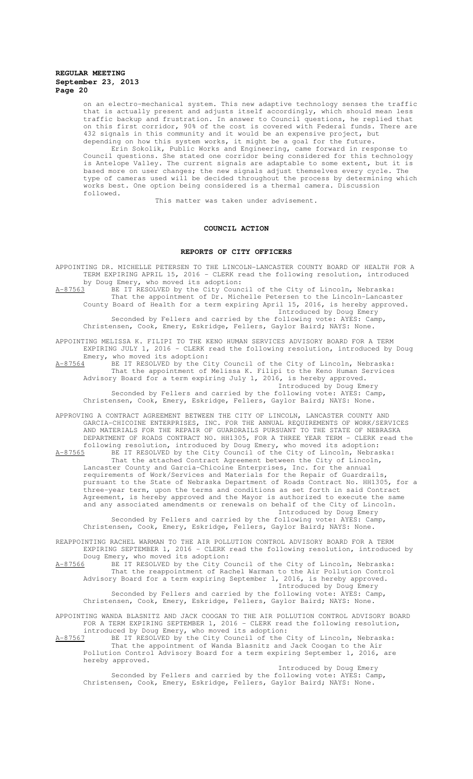on an electro-mechanical system. This new adaptive technology senses the traffic that is actually present and adjusts itself accordingly, which should mean less traffic backup and frustration. In answer to Council questions, he replied that on this first corridor, 90% of the cost is covered with Federal funds. There are 432 signals in this community and it would be an expensive project, but depending on how this system works, it might be a goal for the future.

Erin Sokolik, Public Works and Engineering, came forward in response to Council questions. She stated one corridor being considered for this technology is Antelope Valley. The current signals are adaptable to some extent, but it is based more on user changes; the new signals adjust themselves every cycle. The type of cameras used will be decided throughout the process by determining which works best. One option being considered is a thermal camera. Discussion followed.

This matter was taken under advisement.

## **COUNCIL ACTION**

### **REPORTS OF CITY OFFICERS**

APPOINTING DR. MICHELLE PETERSEN TO THE LINCOLN-LANCASTER COUNTY BOARD OF HEALTH FOR A TERM EXPIRING APRIL 15, 2016 - CLERK read the following resolution, introduced by Doug Emery, who moved its adoption:

A-87563 BE IT RESOLVED by the City Council of the City of Lincoln, Nebraska: That the appointment of Dr. Michelle Petersen to the Lincoln-Lancaster County Board of Health for a term expiring April 15, 2016, is hereby approved. Introduced by Doug Emery

Seconded by Fellers and carried by the following vote: AYES: Camp Christensen, Cook, Emery, Eskridge, Fellers, Gaylor Baird; NAYS: None.

APPOINTING MELISSA K. FILIPI TO THE KENO HUMAN SERVICES ADVISORY BOARD FOR A TERM EXPIRING JULY 1, 2016 - CLERK read the following resolution, introduced by Doug Emery, who moved its adoption:

A-87564 BE IT RESOLVED by the City Council of the City of Lincoln, Nebraska: That the appointment of Melissa K. Filipi to the Keno Human Services Advisory Board for a term expiring July 1, 2016, is hereby approved. Introduced by Doug Emery

Seconded by Fellers and carried by the following vote: AYES: Camp, Christensen, Cook, Emery, Eskridge, Fellers, Gaylor Baird; NAYS: None.

APPROVING A CONTRACT AGREEMENT BETWEEN THE CITY OF LINCOLN, LANCASTER COUNTY AND GARCIA-CHICOINE ENTERPRISES, INC. FOR THE ANNUAL REQUIREMENTS OF WORK/SERVICES AND MATERIALS FOR THE REPAIR OF GUARDRAILS PURSUANT TO THE STATE OF NEBRASKA DEPARTMENT OF ROADS CONTRACT NO. HH1305, FOR A THREE YEAR TERM - CLERK read the following resolution, introduced by Doug Emery, who moved its adoption:

A-87565 BE IT RESOLVED by the City Council of the City of Lincoln, Nebraska: That the attached Contract Agreement between the City of Lincoln, Lancaster County and Garcia-Chicoine Enterprises, Inc. for the annual requirements of Work/Services and Materials for the Repair of Guardrails, pursuant to the State of Nebraska Department of Roads Contract No. HH1305, for a three-year term, upon the terms and conditions as set forth in said Contract Agreement, is hereby approved and the Mayor is authorized to execute the same and any associated amendments or renewals on behalf of the City of Lincoln. Introduced by Doug Emery

Seconded by Fellers and carried by the following vote: AYES: Camp, Christensen, Cook, Emery, Eskridge, Fellers, Gaylor Baird; NAYS: None.

REAPPOINTING RACHEL WARMAN TO THE AIR POLLUTION CONTROL ADVISORY BOARD FOR A TERM EXPIRING SEPTEMBER 1, 2016 - CLERK read the following resolution, introduced by Doug Emery, who moved its adoption:

A-87566 BE IT RESOLVED by the City Council of the City of Lincoln, Nebraska: That the reappointment of Rachel Warman to the Air Pollution Control Advisory Board for a term expiring September 1, 2016, is hereby approved. Introduced by Doug Emery

Seconded by Fellers and carried by the following vote: AYES: Camp, Christensen, Cook, Emery, Eskridge, Fellers, Gaylor Baird; NAYS: None.

APPOINTING WANDA BLASNITZ AND JACK COOGAN TO THE AIR POLLUTION CONTROL ADVISORY BOARD FOR A TERM EXPIRING SEPTEMBER 1, 2016 - CLERK read the following resolution, introduced by Doug Emery, who moved its adoption:

A-87567 BE IT RESOLVED by the City Council of the City of Lincoln, Nebraska: That the appointment of Wanda Blasnitz and Jack Coogan to the Air Pollution Control Advisory Board for a term expiring September 1, 2016, are hereby approved.

Introduced by Doug Emery Seconded by Fellers and carried by the following vote: AYES: Camp, Christensen, Cook, Emery, Eskridge, Fellers, Gaylor Baird; NAYS: None.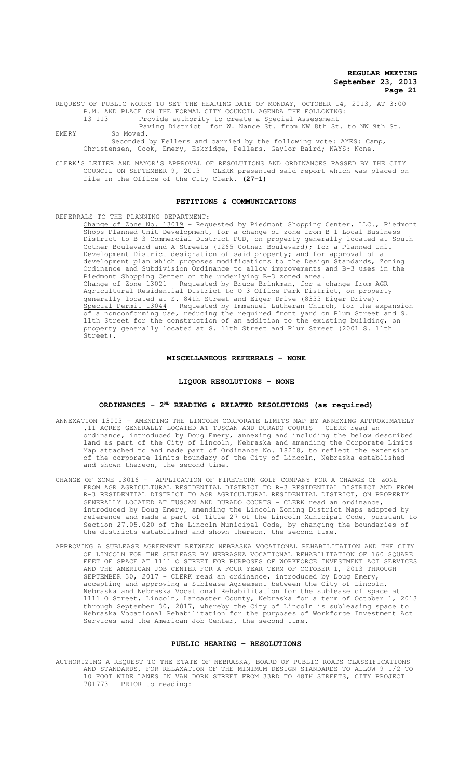REQUEST OF PUBLIC WORKS TO SET THE HEARING DATE OF MONDAY, OCTOBER 14, 2013, AT 3:00 P.M. AND PLACE ON THE FORMAL CITY COUNCIL AGENDA THE FOLLOWING: Provide authority to create a Special Assessment

Paving District for W. Nance St. from NW 8th St. to NW 9th St. EMERY So Moved.

Seconded by Fellers and carried by the following vote: AYES: Camp, Christensen, Cook, Emery, Eskridge, Fellers, Gaylor Baird; NAYS: None.

CLERK'S LETTER AND MAYOR'S APPROVAL OF RESOLUTIONS AND ORDINANCES PASSED BY THE CITY COUNCIL ON SEPTEMBER 9, 2013 - CLERK presented said report which was placed on file in the Office of the City Clerk. **(27-1)**

#### **PETITIONS & COMMUNICATIONS**

REFERRALS TO THE PLANNING DEPARTMENT:

Change of Zone No. 13019 - Requested by Piedmont Shopping Center, LLC., Piedmont Shops Planned Unit Development, for a change of zone from B-1 Local Business District to B-3 Commercial District PUD, on property generally located at South Cotner Boulevard and A Streets (1265 Cotner Boulevard); for a Planned Unit Development District designation of said property; and for approval of a development plan which proposes modifications to the Design Standards, Zoning Ordinance and Subdivision Ordinance to allow improvements and B-3 uses in the Piedmont Shopping Center on the underlying B-3 zoned area. Change of Zone 13021 - Requested by Bruce Brinkman, for a change from AGR Agricultural Residential District to O-3 Office Park District, on property generally located at S. 84th Street and Eiger Drive (8333 Eiger Drive). Special Permit 13044 - Requested by Immanuel Lutheran Church, for the expansion of a nonconforming use, reducing the required front yard on Plum Street and S. 11th Street for the construction of an addition to the existing building, on property generally located at S. 11th Street and Plum Street (2001 S. 11th Street).

## **MISCELLANEOUS REFERRALS - NONE**

### **LIQUOR RESOLUTIONS - NONE**

## **ORDINANCES - 2ND READING & RELATED RESOLUTIONS (as required)**

- ANNEXATION 13003 AMENDING THE LINCOLN CORPORATE LIMITS MAP BY ANNEXING APPROXIMATELY .11 ACRES GENERALLY LOCATED AT TUSCAN AND DURADO COURTS - CLERK read an ordinance, introduced by Doug Emery, annexing and including the below described land as part of the City of Lincoln, Nebraska and amending the Corporate Limits Map attached to and made part of Ordinance No. 18208, to reflect the extension of the corporate limits boundary of the City of Lincoln, Nebraska established and shown thereon, the second time.
- CHANGE OF ZONE 13016 APPLICATION OF FIRETHORN GOLF COMPANY FOR A CHANGE OF ZONE FROM AGR AGRICULTURAL RESIDENTIAL DISTRICT TO R-3 RESIDENTIAL DISTRICT AND FROM R-3 RESIDENTIAL DISTRICT TO AGR AGRICULTURAL RESIDENTIAL DISTRICT, ON PROPERTY GENERALLY LOCATED AT TUSCAN AND DURADO COURTS - CLERK read an ordinance, introduced by Doug Emery, amending the Lincoln Zoning District Maps adopted by reference and made a part of Title 27 of the Lincoln Municipal Code, pursuant to Section 27.05.020 of the Lincoln Municipal Code, by changing the boundaries of the districts established and shown thereon, the second time.
- APPROVING A SUBLEASE AGREEMENT BETWEEN NEBRASKA VOCATIONAL REHABILITATION AND THE CITY OF LINCOLN FOR THE SUBLEASE BY NEBRASKA VOCATIONAL REHABILITATION OF 160 SQUARE FEET OF SPACE AT 1111 O STREET FOR PURPOSES OF WORKFORCE INVESTMENT ACT SERVICES AND THE AMERICAN JOB CENTER FOR A FOUR YEAR TERM OF OCTOBER 1, 2013 THROUGH SEPTEMBER 30, 2017 - CLERK read an ordinance, introduced by Doug Emery, accepting and approving a Sublease Agreement between the City of Lincoln, Nebraska and Nebraska Vocational Rehabilitation for the sublease of space at 1111 O Street, Lincoln, Lancaster County, Nebraska for a term of October 1, 2013 through September 30, 2017, whereby the City of Lincoln is subleasing space to Nebraska Vocational Rehabilitation for the purposes of Workforce Investment Act Services and the American Job Center, the second time.

### **PUBLIC HEARING - RESOLUTIONS**

AUTHORIZING A REQUEST TO THE STATE OF NEBRASKA, BOARD OF PUBLIC ROADS CLASSIFICATIONS AND STANDARDS, FOR RELAXATION OF THE MINIMUM DESIGN STANDARDS TO ALLOW 9 1/2 TO 10 FOOT WIDE LANES IN VAN DORN STREET FROM 33RD TO 48TH STREETS, CITY PROJECT 701773 - PRIOR to reading: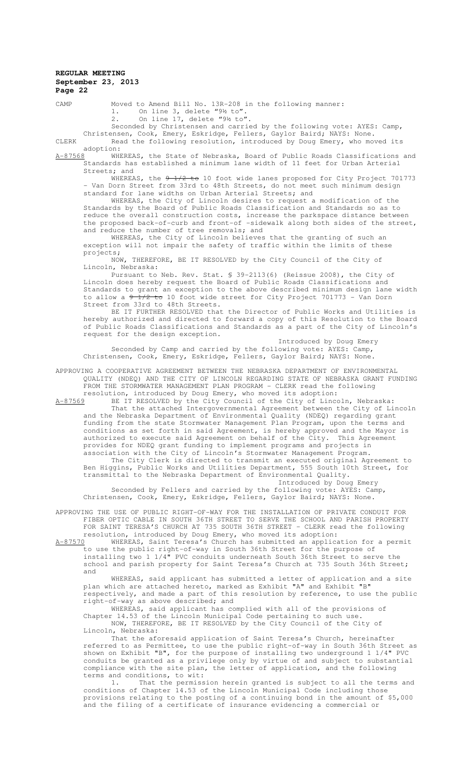CAMP Moved to Amend Bill No. 13R-208 in the following manner: 1. On line 3, delete "9½ to".

2. On line 17, delete "9½ to".

Seconded by Christensen and carried by the following vote: AYES: Camp,

Christensen, Cook, Emery, Eskridge, Fellers, Gaylor Baird; NAYS: None. CLERK Read the following resolution, introduced by Doug Emery, who moved its

adoption:<br>A-87568 WHE WHEREAS, the State of Nebraska, Board of Public Roads Classifications and Standards has established a minimum lane width of 11 feet for Urban Arterial Streets; and

WHEREAS, the 9 1/2 to 10 foot wide lanes proposed for City Project 701773 - Van Dorn Street from 33rd to 48th Streets, do not meet such minimum design standard for lane widths on Urban Arterial Streets; and

WHEREAS, the City of Lincoln desires to request a modification of the Standards by the Board of Public Roads Classification and Standards so as to reduce the overall construction costs, increase the parkspace distance between the proposed back-of-curb and front-of -sidewalk along both sides of the street, and reduce the number of tree removals; and

WHEREAS, the City of Lincoln believes that the granting of such an exception will not impair the safety of traffic within the limits of these projects;<br>NOW.

THEREFORE, BE IT RESOLVED by the City Council of the City of Lincoln, Nebraska:

Pursuant to Neb. Rev. Stat. § 39-2113(6) (Reissue 2008), the City of Lincoln does hereby request the Board of Public Roads Classifications and Standards to grant an exception to the above described minimum design lane width to allow a 9 1/2 to 10 foot wide street for City Project 701773 - Van Dorn Street from 33rd to 48th Streets.

BE IT FURTHER RESOLVED that the Director of Public Works and Utilities is hereby authorized and directed to forward a copy of this Resolution to the Board of Public Roads Classifications and Standards as a part of the City of Lincoln's request for the design exception.

Introduced by Doug Emery Seconded by Camp and carried by the following vote: AYES: Camp, Christensen, Cook, Emery, Eskridge, Fellers, Gaylor Baird; NAYS: None.

APPROVING A COOPERATIVE AGREEMENT BETWEEN THE NEBRASKA DEPARTMENT OF ENVIRONMENTAL QUALITY (NDEQ) AND THE CITY OF LINCOLN REGARDING STATE OF NEBRASKA GRANT FUNDING FROM THE STORMWATER MANAGEMENT PLAN PROGRAM - CLERK read the following resolution, introduced by Doug Emery, who moved its adoption:

A-87569 BE IT RESOLVED by the City Council of the City of Lincoln, Nebraska: That the attached Intergovernmental Agreement between the City of Lincoln and the Nebraska Department of Environmental Quality (NDEQ) regarding grant funding from the state Stormwater Management Plan Program, upon the terms and conditions as set forth in said Agreement, is hereby approved and the Mayor is authorized to execute said Agreement on behalf of the City. This Agreement provides for NDEQ grant funding to implement programs and projects in

association with the City of Lincoln's Stormwater Management Program. The City Clerk is directed to transmit an executed original Agreement to Ben Higgins, Public Works and Utilities Department, 555 South 10th Street, for transmittal to the Nebraska Department of Environmental Quality.

Introduced by Doug Emery Seconded by Fellers and carried by the following vote: AYES: Camp, Christensen, Cook, Emery, Eskridge, Fellers, Gaylor Baird; NAYS: None.

APPROVING THE USE OF PUBLIC RIGHT-OF-WAY FOR THE INSTALLATION OF PRIVATE CONDUIT FOR FIBER OPTIC CABLE IN SOUTH 36TH STREET TO SERVE THE SCHOOL AND PARISH PROPERTY FOR SAINT TERESA'S CHURCH AT 735 SOUTH 36TH STREET - CLERK read the following resolution, introduced by Doug Emery, who moved its adoption:

A-87570 WHEREAS, Saint Teresa's Church has submitted an application for a permit to use the public right-of-way in South 36th Street for the purpose of installing two 1 1/4" PVC conduits underneath South 36th Street to serve the school and parish property for Saint Teresa's Church at 735 South 36th Street; and

WHEREAS, said applicant has submitted a letter of application and a site plan which are attached hereto, marked as Exhibit "A" and Exhibit "B" respectively, and made a part of this resolution by reference, to use the public right-of-way as above described; and

WHEREAS, said applicant has complied with all of the provisions of Chapter 14.53 of the Lincoln Municipal Code pertaining to such use. NOW, THEREFORE, BE IT RESOLVED by the City Council of the City of Lincoln, Nebraska:

That the aforesaid application of Saint Teresa's Church, hereinafter referred to as Permittee, to use the public right-of-way in South 36th Street as shown on Exhibit "B", for the purpose of installing two underground 1 1/4" PVC conduits be granted as a privilege only by virtue of and subject to substantial compliance with the site plan, the letter of application, and the following terms and conditions, to wit:

1. That the permission herein granted is subject to all the terms and conditions of Chapter 14.53 of the Lincoln Municipal Code including those provisions relating to the posting of a continuing bond in the amount of \$5,000 and the filing of a certificate of insurance evidencing a commercial or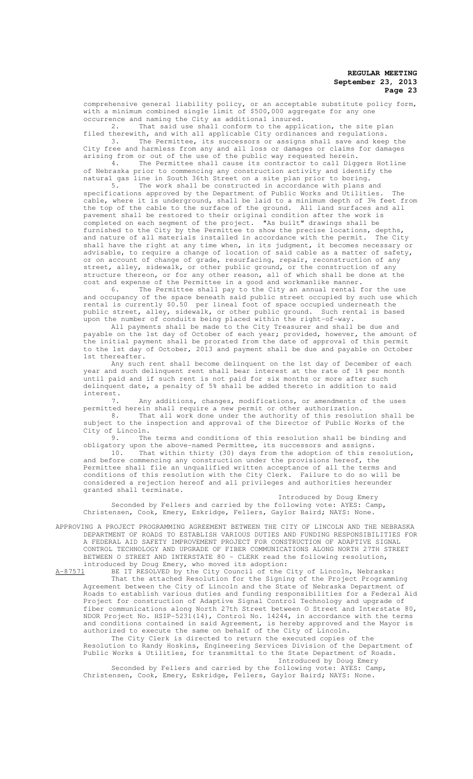comprehensive general liability policy, or an acceptable substitute policy form, with a minimum combined single limit of \$500,000 aggregate for any one occurrence and naming the City as additional insured.

2. That said use shall conform to the application, the site plan filed therewith, and with all applicable City ordinances and regulations. 3. The Permittee, its successors or assigns shall save and keep the

City free and harmless from any and all loss or damages or claims for damages arising from or out of the use of the public way requested herein.<br>4. The Permittee shall cause its contractor to call Digg The Permittee shall cause its contractor to call Diggers Hotline of Nebraska prior to commencing any construction activity and identify the

natural gas line in South 36th Street on a site plan prior to boring. 5. The work shall be constructed in accordance with plans and

specifications approved by the Department of Public Works and Utilities. The cable, where it is underground, shall be laid to a minimum depth of 3½ feet from the top of the cable to the surface of the ground. All land surfaces and all pavement shall be restored to their original condition after the work is completed on each segment of the project. "As built" drawings shall be furnished to the City by the Permittee to show the precise locations, depths, and nature of all materials installed in accordance with the permit. The City shall have the right at any time when, in its judgment, it becomes necessary or advisable, to require a change of location of said cable as a matter of safety, or on account of change of grade, resurfacing, repair, reconstruction of any street, alley, sidewalk, or other public ground, or the construction of any structure thereon, or for any other reason, all of which shall be done at the cost and expense of the Permittee in a good and workmanlike manner.

6. The Permittee shall pay to the City an annual rental for the use and occupancy of the space beneath said public street occupied by such use which rental is currently \$0.50 per lineal foot of space occupied underneath the<br>public street, alley, sidewalk, or other public ground. Such rental is based public street, alley, sidewalk, or other public ground. Such rental is based upon the number of conduits being placed within the right-of-way.

All payments shall be made to the City Treasurer and shall be due and payable on the 1st day of October of each year; provided, however, the amount of the initial payment shall be prorated from the date of approval of this permit to the 1st day of October, 2013 and payment shall be due and payable on October 1st thereafter.

Any such rent shall become delinquent on the 1st day of December of each year and such delinquent rent shall bear interest at the rate of 1% per month until paid and if such rent is not paid for six months or more after such delinquent date, a penalty of 5% shall be added thereto in addition to said interest.

7. Any additions, changes, modifications, or amendments of the uses permitted herein shall require a new permit or other authorization.

8. That all work done under the authority of this resolution shall be subject to the inspection and approval of the Director of Public Works of the City of Lincoln.<br>9. The

The terms and conditions of this resolution shall be binding and obligatory upon the above-named Permittee, its successors and assigns.

10. That within thirty (30) days from the adoption of this resolution, and before commencing any construction under the provisions hereof, the Permittee shall file an unqualified written acceptance of all the terms and conditions of this resolution with the City Clerk. Failure to do so will be considered a rejection hereof and all privileges and authorities hereunder granted shall terminate.

Introduced by Doug Emery Seconded by Fellers and carried by the following vote: AYES: Camp, Christensen, Cook, Emery, Eskridge, Fellers, Gaylor Baird; NAYS: None.

APPROVING A PROJECT PROGRAMMING AGREEMENT BETWEEN THE CITY OF LINCOLN AND THE NEBRASKA DEPARTMENT OF ROADS TO ESTABLISH VARIOUS DUTIES AND FUNDING RESPONSIBILITIES FOR A FEDERAL AID SAFETY IMPROVEMENT PROJECT FOR CONSTRUCTION OF ADAPTIVE SIGNAL CONTROL TECHNOLOGY AND UPGRADE OF FIBER COMMUNICATIONS ALONG NORTH 27TH STREET BETWEEN O STREET AND INTERSTATE 80 - CLERK read the following resolution, introduced by Doug Emery, who moved its adoption:<br>A-87571 BE IT RESOLVED by the City Council of the O

BE IT RESOLVED by the City Council of the City of Lincoln, Nebraska: That the attached Resolution for the Signing of the Project Programming Agreement between the City of Lincoln and the State of Nebraska Department of Roads to establish various duties and funding responsibilities for a Federal Aid Project for construction of Adaptive Signal Control Technology and upgrade of fiber communications along North 27th Street between O Street and Interstate 80, NDOR Project No. HSIP-5231(14), Control No. 14244, in accordance with the terms and conditions contained in said Agreement, is hereby approved and the Mayor is authorized to execute the same on behalf of the City of Lincoln.

The City Clerk is directed to return the executed copies of the Resolution to Randy Hoskins, Engineering Services Division of the Department of Public Works & Utilities, for transmittal to the State Department of Roads. Introduced by Doug Emery

Seconded by Fellers and carried by the following vote: AYES: Camp, Christensen, Cook, Emery, Eskridge, Fellers, Gaylor Baird; NAYS: None.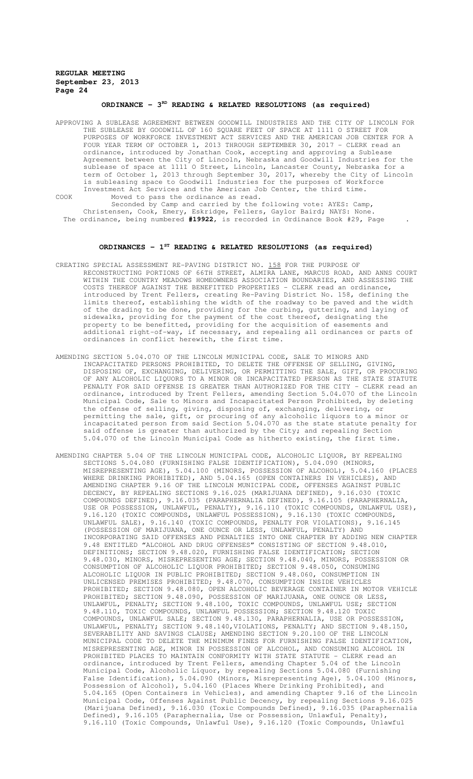# ORDINANCE - 3<sup>RD</sup> READING & RELATED RESOLUTIONS (as required)

APPROVING A SUBLEASE AGREEMENT BETWEEN GOODWILL INDUSTRIES AND THE CITY OF LINCOLN FOR THE SUBLEASE BY GOODWILL OF 160 SQUARE FEET OF SPACE AT 1111 O STREET FOR PURPOSES OF WORKFORCE INVESTMENT ACT SERVICES AND THE AMERICAN JOB CENTER FOR A FOUR YEAR TERM OF OCTOBER 1, 2013 THROUGH SEPTEMBER 30, 2017 - CLERK read an ordinance, introduced by Jonathan Cook, accepting and approving a Sublease Agreement between the City of Lincoln, Nebraska and Goodwill Industries for the sublease of space at 1111 O Street, Lincoln, Lancaster County, Nebraska for a term of October 1, 2013 through September 30, 2017, whereby the City of Lincoln is subleasing space to Goodwill Industries for the purposes of Workforce Investment Act Services and the American Job Center, the third time. COOK Moved to pass the ordinance as read.

Seconded by Camp and carried by the following vote: AYES: Camp, Christensen, Cook, Emery, Eskridge, Fellers, Gaylor Baird; NAYS: None. The ordinance, being numbered **#19922**, is recorded in Ordinance Book #29, Page .

#### **ORDINANCES - 1ST READING & RELATED RESOLUTIONS (as required)**

- CREATING SPECIAL ASSESSMENT RE-PAVING DISTRICT NO. 158 FOR THE PURPOSE OF RECONSTRUCTING PORTIONS OF 66TH STREET, ALMIRA LANE, MARCUS ROAD, AND ANNS COURT WITHIN THE COUNTRY MEADOWS HOMEOWNERS ASSOCIATION BOUNDARIES, AND ASSESSING THE COSTS THEREOF AGAINST THE BENEFITTED PROPERTIES - CLERK read an ordinance, introduced by Trent Fellers, creating Re-Paving District No. 158, defining the limits thereof, establishing the width of the roadway to be paved and the width of the drading to be done, providing for the curbing, guttering, and laying of sidewalks, providing for the payment of the cost thereof, designating the property to be benefitted, providing for the acquisition of easements and additional right-of-way, if necessary, and repealing all ordinances or parts of ordinances in conflict herewith, the first time.
- AMENDING SECTION 5.04.070 OF THE LINCOLN MUNICIPAL CODE, SALE TO MINORS AND INCAPACITATED PERSONS PROHIBITED, TO DELETE THE OFFENSE OF SELLING, GIVING, DISPOSING OF, EXCHANGING, DELIVERING, OR PERMITTING THE SALE, GIFT, OR PROCURING OF ANY ALCOHOLIC LIQUORS TO A MINOR OR INCAPACITATED PERSON AS THE STATE STATUTE PENALTY FOR SAID OFFENSE IS GREATER THAN AUTHORIZED FOR THE CITY - CLERK read an ordinance, introduced by Trent Fellers, amending Section 5.04.070 of the Lincoln Municipal Code, Sale to Minors and Incapacitated Person Prohibited, by deleting the offense of selling, giving, disposing of, exchanging, delivering, or permitting the sale, gift, or procuring of any alcoholic liquors to a minor or incapacitated person from said Section 5.04.070 as the state statute penalty for said offense is greater than authorized by the City; and repealing Section 5.04.070 of the Lincoln Municipal Code as hitherto existing, the first time.
- AMENDING CHAPTER 5.04 OF THE LINCOLN MUNICIPAL CODE, ALCOHOLIC LIQUOR, BY REPEALING SECTIONS 5.04.080 (FURNISHING FALSE IDENTIFICATION), 5.04.090 (MINORS, MISREPRESENTING AGE), 5.04.100 (MINORS, POSSESSION OF ALCOHOL), 5.04.160 (PLACES WHERE DRINKING PROHIBITED), AND 5.04.165 (OPEN CONTAINERS IN VEHICLES), AND AMENDING CHAPTER 9.16 OF THE LINCOLN MUNICIPAL CODE, OFFENSES AGAINST PUBLIC DECENCY, BY REPEALING SECTIONS 9.16.025 (MARIJUANA DEFINED), 9.16.030 (TOXIC COMPOUNDS DEFINED), 9.16.035 (PARAPHERNALIA DEFINED), 9.16.105 (PARAPHERNALIA, USE OR POSSESSION, UNLAWFUL, PENALTY), 9.16.110 (TOXIC COMPOUNDS, UNLAWFUL USE), 9.16.120 (TOXIC COMPOUNDS, UNLAWFUL POSSESSION), 9.16.130 (TOXIC COMPOUNDS, UNLAWFUL SALE), 9.16.140 (TOXIC COMPOUNDS, PENALTY FOR VIOLATIONS), 9.16.145 (POSSESSION OF MARIJUANA, ONE OUNCE OR LESS, UNLAWFUL, PENALTY) AND INCORPORATING SAID OFFENSES AND PENALTIES INTO ONE CHAPTER BY ADDING NEW CHAPTER 9.48 ENTITLED "ALCOHOL AND DRUG OFFENSES" CONSISTING OF SECTION 9.48.010, DEFINITIONS; SECTION 9.48.020, FURNISHING FALSE IDENTIFICATION; SECTION 9.48.030, MINORS, MISREPRESENTING AGE; SECTION 9.48.040, MINORS, POSSESSION OR CONSUMPTION OF ALCOHOLIC LIQUOR PROHIBITED; SECTION 9.48.050, CONSUMING ALCOHOLIC LIQUOR IN PUBLIC PROHIBITED; SECTION 9.48.060, CONSUMPTION IN UNLICENSED PREMISES PROHIBITED; 9.48.070, CONSUMPTION INSIDE VEHICLES PROHIBITED; SECTION 9.48.080, OPEN ALCOHOLIC BEVERAGE CONTAINER IN MOTOR VEHICLE PROHIBITED; SECTION 9.48.090, POSSESSION OF MARIJUANA, ONE OUNCE OR LESS, UNLAWFUL, PENALTY; SECTION 9.48.100, TOXIC COMPOUNDS, UNLAWFUL USE; SECTION 9.48.110, TOXIC COMPOUNDS, UNLAWFUL POSSESSION; SECTION 9.48.120 TOXIC COMPOUNDS, UNLAWFUL SALE; SECTION 9.48.130, PARAPHERNALIA, USE OR POSSESSION, UNLAWFUL, PENALTY; SECTION 9.48.140,VIOLATIONS, PENALTY; AND SECTION 9.48.150, SEVERABILITY AND SAVINGS CLAUSE; AMENDING SECTION 9.20.100 OF THE LINCOLN MUNICIPAL CODE TO DELETE THE MINIMUM FINES FOR FURNISHING FALSE IDENTIFICATION, MISREPRESENTING AGE, MINOR IN POSSESSION OF ALCOHOL, AND CONSUMING ALCOHOL IN PROHIBITED PLACES TO MAINTAIN CONFORMITY WITH STATE STATUTE - CLERK read an ordinance, introduced by Trent Fellers, amending Chapter 5.04 of the Lincoln Municipal Code, Alcoholic Liquor, by repealing Sections 5.04.080 (Furnishing False Identification), 5.04.090 (Minors, Misrepresenting Age), 5.04.100 (Minors, Possession of Alcohol), 5.04.160 (Places Where Drinking Prohibited), and 5.04.165 (Open Containers in Vehicles), and amending Chapter 9.16 of the Lincoln Municipal Code, Offenses Against Public Decency, by repealing Sections 9.16.025 (Marijuana Defined), 9.16.030 (Toxic Compounds Defined), 9.16.035 (Paraphernalia Defined), 9.16.105 (Paraphernalia, Use or Possession, Unlawful, Penalty), 9.16.110 (Toxic Compounds, Unlawful Use), 9.16.120 (Toxic Compounds, Unlawful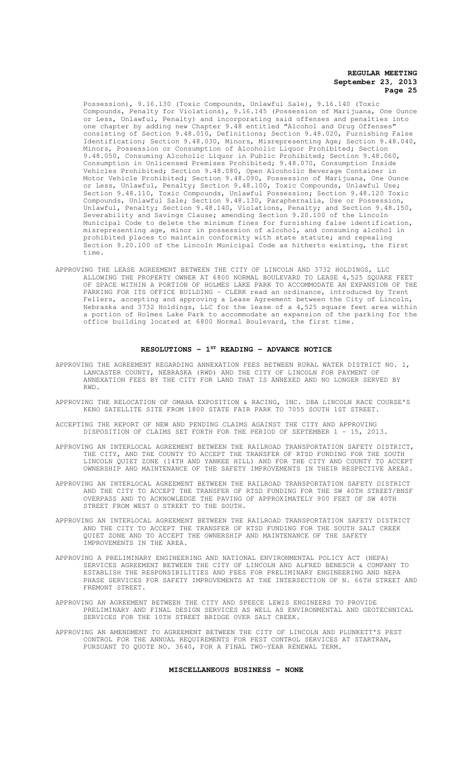Possession), 9.16.130 (Toxic Compounds, Unlawful Sale), 9.16.140 (Toxic Compounds, Penalty for Violations), 9.16.145 (Possession of Marijuana, One Ounce or Less, Unlawful, Penalty) and incorporating said offenses and penalties into one chapter by adding new Chapter 9.48 entitled "Alcohol and Drug Offenses" consisting of Section 9.48.010, Definitions; Section 9.48.020, Furnishing False Identification; Section 9.48.030, Minors, Misrepresenting Age; Section 9.48.040, Minors, Possession or Consumption of Alcoholic Liquor Prohibited; Section 9.48.050, Consuming Alcoholic Liquor in Public Prohibited; Section 9.48.060, Consumption in Unlicensed Premises Prohibited; 9.48.070, Consumption Inside Vehicles Prohibited; Section 9.48.080, Open Alcoholic Beverage Container in Motor Vehicle Prohibited; Section 9.48.090, Possession of Marijuana, One Ounce or Less, Unlawful, Penalty; Section 9.48.100, Toxic Compounds, Unlawful Use; Section 9.48.110, Toxic Compounds, Unlawful Possession; Section 9.48.120 Toxic Compounds, Unlawful Sale; Section 9.48.130, Paraphernalia, Use or Possession, Unlawful, Penalty; Section 9.48.140, Violations, Penalty; and Section 9.48.150, Severability and Savings Clause; amending Section 9.20.100 of the Lincoln Municipal Code to delete the minimum fines for furnishing false identification, misrepresenting age, minor in possession of alcohol, and consuming alcohol in prohibited places to maintain conformity with state statute; and repealing Section 9.20.100 of the Lincoln Municipal Code as hitherto existing, the first time.

APPROVING THE LEASE AGREEMENT BETWEEN THE CITY OF LINCOLN AND 3732 HOLDINGS, LLC ALLOWING THE PROPERTY OWNER AT 6800 NORMAL BOULEVARD TO LEASE 4,525 SQUARE FEET OF SPACE WITHIN A PORTION OF HOLMES LAKE PARK TO ACCOMMODATE AN EXPANSION OF THE PARKING FOR ITS OFFICE BUILDING - CLERK read an ordinance, introduced by Trent Fellers, accepting and approving a Lease Agreement between the City of Lincoln, Nebraska and 3732 Holdings, LLC for the lease of a 4,525 square feet area within a portion of Holmes Lake Park to accommodate an expansion of the parking for the office building located at 6800 Normal Boulevard, the first time.

# **RESOLUTIONS - 1ST READING - ADVANCE NOTICE**

- APPROVING THE AGREEMENT REGARDING ANNEXATION FEES BETWEEN RURAL WATER DISTRICT NO. 1, LANCASTER COUNTY, NEBRASKA (RWD) AND THE CITY OF LINCOLN FOR PAYMENT OF ANNEXATION FEES BY THE CITY FOR LAND THAT IS ANNEXED AND NO LONGER SERVED BY RWD.
- APPROVING THE RELOCATION OF OMAHA EXPOSITION & RACING, INC. DBA LINCOLN RACE COURSE'S KENO SATELLITE SITE FROM 1800 STATE FAIR PARK TO 7055 SOUTH 1ST STREET.
- ACCEPTING THE REPORT OF NEW AND PENDING CLAIMS AGAINST THE CITY AND APPROVING DISPOSITION OF CLAIMS SET FORTH FOR THE PERIOD OF SEPTEMBER 1 - 15, 2013.
- APPROVING AN INTERLOCAL AGREEMENT BETWEEN THE RAILROAD TRANSPORTATION SAFETY DISTRICT, THE CITY, AND THE COUNTY TO ACCEPT THE TRANSFER OF RTSD FUNDING FOR THE SOUTH LINCOLN QUIET ZONE (14TH AND YANKEE HILL) AND FOR THE CITY AND COUNTY TO ACCEPT OWNERSHIP AND MAINTENANCE OF THE SAFETY IMPROVEMENTS IN THEIR RESPECTIVE AREAS.
- APPROVING AN INTERLOCAL AGREEMENT BETWEEN THE RAILROAD TRANSPORTATION SAFETY DISTRICT AND THE CITY TO ACCEPT THE TRANSFER OF RTSD FUNDING FOR THE SW 40TH STREET/BNSF OVERPASS AND TO ACKNOWLEDGE THE PAVING OF APPROXIMATELY 900 FEET OF SW 40TH STREET FROM WEST O STREET TO THE SOUTH.
- APPROVING AN INTERLOCAL AGREEMENT BETWEEN THE RAILROAD TRANSPORTATION SAFETY DISTRICT AND THE CITY TO ACCEPT THE TRANSFER OF RTSD FUNDING FOR THE SOUTH SALT CREEK QUIET ZONE AND TO ACCEPT THE OWNERSHIP AND MAINTENANCE OF THE SAFETY IMPROVEMENTS IN THE AREA.
- APPROVING A PRELIMINARY ENGINEERING AND NATIONAL ENVIRONMENTAL POLICY ACT (NEPA) SERVICES AGREEMENT BETWEEN THE CITY OF LINCOLN AND ALFRED BENESCH & COMPANY TO ESTABLISH THE RESPONSIBILITIES AND FEES FOR PRELIMINARY ENGINEERING AND NEPA PHASE SERVICES FOR SAFETY IMPROVEMENTS AT THE INTERSECTION OF N. 66TH STREET AND FREMONT STREET.
- APPROVING AN AGREEMENT BETWEEN THE CITY AND SPEECE LEWIS ENGINEERS TO PROVIDE PRELIMINARY AND FINAL DESIGN SERVICES AS WELL AS ENVIRONMENTAL AND GEOTECHNICAL SERVICES FOR THE 10TH STREET BRIDGE OVER SALT CREEK.
- APPROVING AN AMENDMENT TO AGREEMENT BETWEEN THE CITY OF LINCOLN AND PLUNKETT'S PEST CONTROL FOR THE ANNUAL REQUIREMENTS FOR PEST CONTROL SERVICES AT STARTRAN, PURSUANT TO QUOTE NO. 3640, FOR A FINAL TWO-YEAR RENEWAL TERM.

#### **MISCELLANEOUS BUSINESS - NONE**